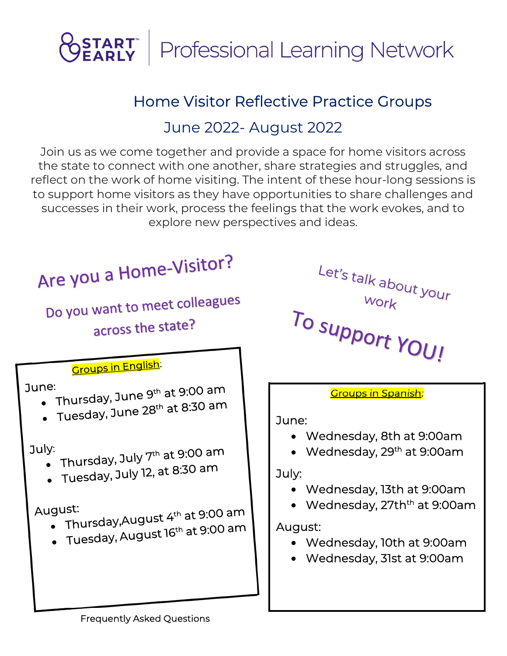

# Home Visitor Reflective Practice Groups

## June 2022- August 2022

Join us as we come together and provide a space for home visitors across the state to connect with one another, share strategies and struggles, and reflect on the work of home visiting. The intent of these hour-long sessions is to support home visitors as they have opportunities to share challenges and successes in their work, process the feelings that the work evokes, and to explore new perspectives and ideas.

| Are you a Home-Visitor?<br>Do you want to meet colleagues<br>across the state?<br><u>Groups in English</u> : | Let's talk about your<br>Work<br>To support YOU! |
|--------------------------------------------------------------------------------------------------------------|--------------------------------------------------|
| June:                                                                                                        | <b>Groups in Spanish:</b>                        |
| • Thursday, June $9^{\text{th}}$ at 9:00 am                                                                  | June:                                            |
| Tuesday, June 28 <sup>th</sup> at 8:30 am                                                                    | • Wednesday, 8th at 9:00am                       |
| July:                                                                                                        | • Wednesday, 29 <sup>th</sup> at 9:00am          |
| Thursday, July 7 <sup>th</sup> at 9:00 am                                                                    | July:                                            |
| Tuesday, July 12, at 8:30 am                                                                                 | • Wednesday, 13th at 9:00am                      |
| August:                                                                                                      | • Wednesday, 27th <sup>th</sup> at 9:00am        |
| • Thursday, August 4th at 9:00 am                                                                            | August:                                          |
| • Tuesday, August $16th$ at 9:00 am                                                                          | • Wednesday, 10th at 9:00am                      |
| Fraquently Asked Ouestions                                                                                   | • Wednesday, 31st at 9:00am                      |